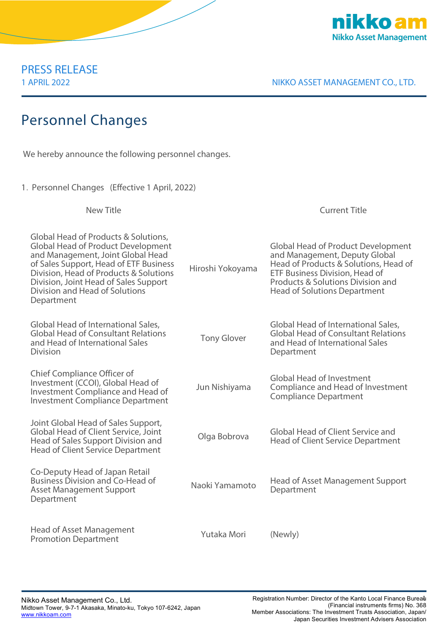

PRESS RELEASE

1 APRIL 2022 NIKKO ASSET MANAGEMENT CO., LTD.

## Personnel Changes

We hereby announce the following personnel changes.

1.Personnel Changes (Effective 1 April, 2022)

New Title Current Title Global Head of Products & Solutions, Global Head of Product Development and Management, Joint Global Head of Sales Support, Head of ETF Business Division, Head of Products & Solutions Division, Joint Head of Sales Support Division and Head of Solutions Department Hiroshi Yokoyama Global Head of Product Development and Management, Deputy Global Head of Products & Solutions, Head of ETF Business Division, Head of Products & Solutions Division and Head of Solutions Department Global Head of International Sales, Global Head of Consultant Relations and Head of International Sales Division Tony Glover Global Head of International Sales, Global Head of Consultant Relations and Head of International Sales **Department** Chief Compliance Officer of Investment (CCOI), Global Head of Investment Compliance and Head of Investment Compliance Department Jun Nishiyama Global Head of Investment Compliance and Head of Investment Compliance Department Joint Global Head of Sales Support, Global Head of Client Service, Joint Head of Sales Support Division and Head of Client Service Department Olga Bobrova Global Head of Client Service and Head of Client Service Department Co-Deputy Head of Japan Retail Business Division and Co-Head of Asset Management Support **Department** Naoki Yamamoto Head of Asset Management Support **Department** Head of Asset Management Promotion Department Yutaka Mori (Newly)